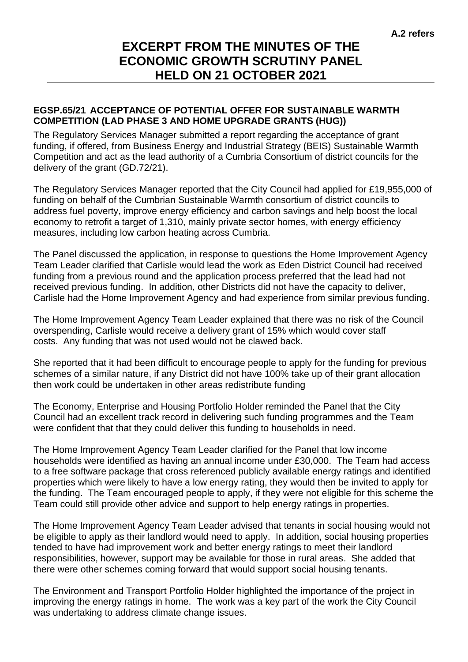## **EXCERPT FROM THE MINUTES OF THE ECONOMIC GROWTH SCRUTINY PANEL HELD ON 21 OCTOBER 2021**

## **EGSP.65/21 ACCEPTANCE OF POTENTIAL OFFER FOR SUSTAINABLE WARMTH COMPETITION (LAD PHASE 3 AND HOME UPGRADE GRANTS (HUG))**

The Regulatory Services Manager submitted a report regarding the acceptance of grant funding, if offered, from Business Energy and Industrial Strategy (BEIS) Sustainable Warmth Competition and act as the lead authority of a Cumbria Consortium of district councils for the delivery of the grant (GD.72/21).

The Regulatory Services Manager reported that the City Council had applied for £19,955,000 of funding on behalf of the Cumbrian Sustainable Warmth consortium of district councils to address fuel poverty, improve energy efficiency and carbon savings and help boost the local economy to retrofit a target of 1,310, mainly private sector homes, with energy efficiency measures, including low carbon heating across Cumbria.

The Panel discussed the application, in response to questions the Home Improvement Agency Team Leader clarified that Carlisle would lead the work as Eden District Council had received funding from a previous round and the application process preferred that the lead had not received previous funding. In addition, other Districts did not have the capacity to deliver, Carlisle had the Home Improvement Agency and had experience from similar previous funding.

The Home Improvement Agency Team Leader explained that there was no risk of the Council overspending, Carlisle would receive a delivery grant of 15% which would cover staff costs. Any funding that was not used would not be clawed back.

She reported that it had been difficult to encourage people to apply for the funding for previous schemes of a similar nature, if any District did not have 100% take up of their grant allocation then work could be undertaken in other areas redistribute funding

The Economy, Enterprise and Housing Portfolio Holder reminded the Panel that the City Council had an excellent track record in delivering such funding programmes and the Team were confident that that they could deliver this funding to households in need.

The Home Improvement Agency Team Leader clarified for the Panel that low income households were identified as having an annual income under £30,000. The Team had access to a free software package that cross referenced publicly available energy ratings and identified properties which were likely to have a low energy rating, they would then be invited to apply for the funding. The Team encouraged people to apply, if they were not eligible for this scheme the Team could still provide other advice and support to help energy ratings in properties.

The Home Improvement Agency Team Leader advised that tenants in social housing would not be eligible to apply as their landlord would need to apply. In addition, social housing properties tended to have had improvement work and better energy ratings to meet their landlord responsibilities, however, support may be available for those in rural areas. She added that there were other schemes coming forward that would support social housing tenants.

The Environment and Transport Portfolio Holder highlighted the importance of the project in improving the energy ratings in home. The work was a key part of the work the City Council was undertaking to address climate change issues.